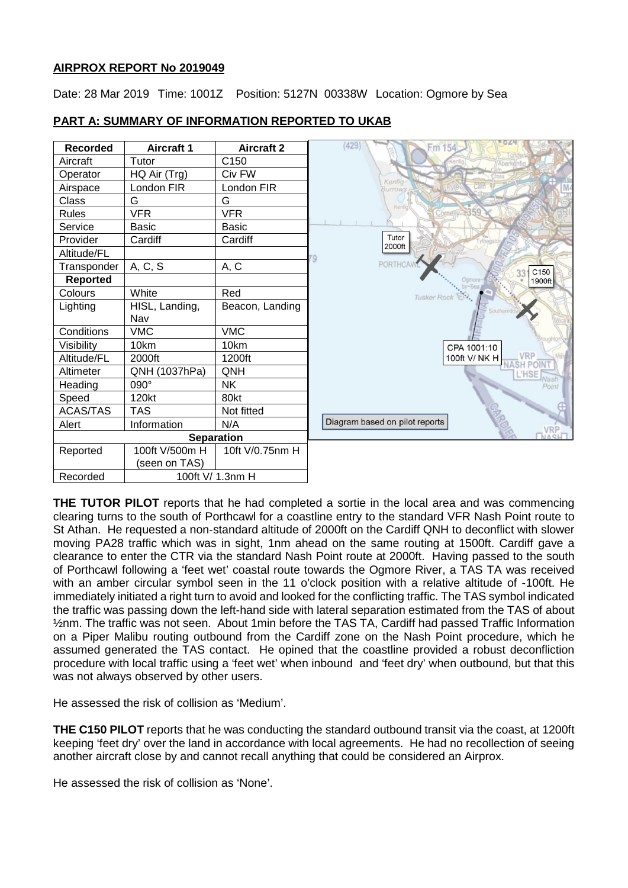#### **AIRPROX REPORT No 2019049**

Date: 28 Mar 2019 Time: 1001Z Position: 5127N 00338W Location: Ogmore by Sea

| Recorded        | <b>Aircraft 1</b> | <b>Aircraft 2</b> |  |
|-----------------|-------------------|-------------------|--|
| Aircraft        | Tutor             | C150              |  |
| Operator        | HQ Air (Trg)      | Civ FW            |  |
| Airspace        | London FIR        | London FIR        |  |
| Class           | G                 | G                 |  |
| Rules           | VFR               | <b>VFR</b>        |  |
| Service         | Basic             | Basic             |  |
| Provider        | Cardiff           | Cardiff           |  |
| Altitude/FL     |                   |                   |  |
| Transponder     | A, C, S           | A, C              |  |
| <b>Reported</b> |                   |                   |  |
| Colours         | White             | Red               |  |
| Lighting        | HISL, Landing,    | Beacon, Landing   |  |
|                 | Nav               |                   |  |
| Conditions      | VMC               | <b>VMC</b>        |  |
| Visibility      | 10km              | 10km              |  |
| Altitude/FL     | 2000ft            | 1200ft            |  |
| Altimeter       | QNH (1037hPa)     | ONH               |  |
| Heading         | 090°              | ΝK                |  |
| Speed           | 120kt             | 80kt              |  |
| <b>ACAS/TAS</b> | TAS               | Not fitted        |  |
| Alert           | Information       | N/A               |  |
|                 | <b>Separation</b> |                   |  |
| Reported        | 100ft V/500m H    | 10ft V/0.75nm H   |  |
|                 | (seen on TAS)     |                   |  |
| Recorded        | 100ft V/ 1.3nm H  |                   |  |

## **PART A: SUMMARY OF INFORMATION REPORTED TO UKAB**



**THE TUTOR PILOT** reports that he had completed a sortie in the local area and was commencing clearing turns to the south of Porthcawl for a coastline entry to the standard VFR Nash Point route to St Athan. He requested a non-standard altitude of 2000ft on the Cardiff QNH to deconflict with slower moving PA28 traffic which was in sight, 1nm ahead on the same routing at 1500ft. Cardiff gave a clearance to enter the CTR via the standard Nash Point route at 2000ft. Having passed to the south of Porthcawl following a 'feet wet' coastal route towards the Ogmore River, a TAS TA was received with an amber circular symbol seen in the 11 o'clock position with a relative altitude of -100ft. He immediately initiated a right turn to avoid and looked for the conflicting traffic. The TAS symbol indicated the traffic was passing down the left-hand side with lateral separation estimated from the TAS of about ½nm. The traffic was not seen. About 1min before the TAS TA, Cardiff had passed Traffic Information on a Piper Malibu routing outbound from the Cardiff zone on the Nash Point procedure, which he assumed generated the TAS contact. He opined that the coastline provided a robust deconfliction procedure with local traffic using a 'feet wet' when inbound and 'feet dry' when outbound, but that this was not always observed by other users.

He assessed the risk of collision as 'Medium'.

**THE C150 PILOT** reports that he was conducting the standard outbound transit via the coast, at 1200ft keeping 'feet dry' over the land in accordance with local agreements. He had no recollection of seeing another aircraft close by and cannot recall anything that could be considered an Airprox.

He assessed the risk of collision as 'None'.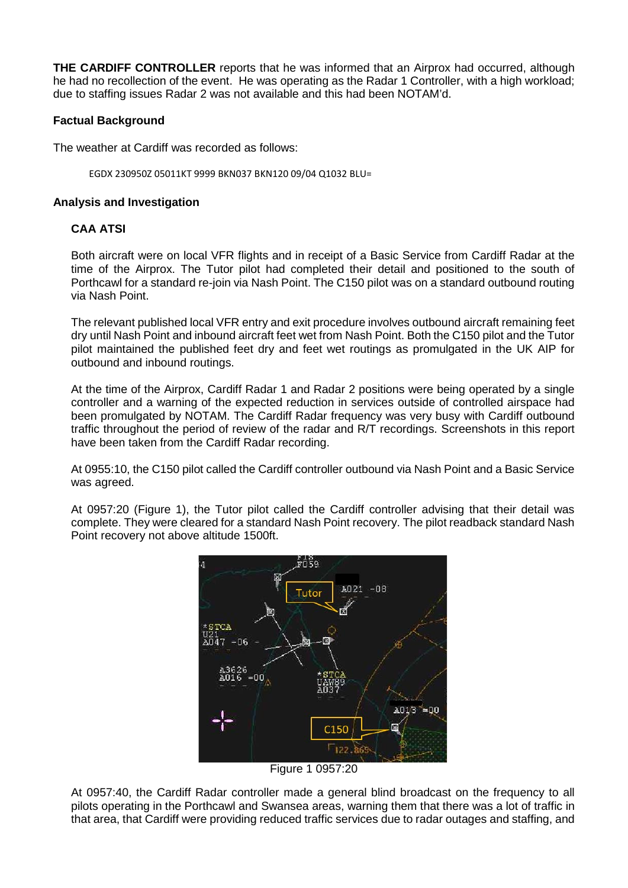**THE CARDIFF CONTROLLER** reports that he was informed that an Airprox had occurred, although he had no recollection of the event. He was operating as the Radar 1 Controller, with a high workload; due to staffing issues Radar 2 was not available and this had been NOTAM'd.

# **Factual Background**

The weather at Cardiff was recorded as follows:

EGDX 230950Z 05011KT 9999 BKN037 BKN120 09/04 Q1032 BLU=

## **Analysis and Investigation**

# **CAA ATSI**

Both aircraft were on local VFR flights and in receipt of a Basic Service from Cardiff Radar at the time of the Airprox. The Tutor pilot had completed their detail and positioned to the south of Porthcawl for a standard re-join via Nash Point. The C150 pilot was on a standard outbound routing via Nash Point.

The relevant published local VFR entry and exit procedure involves outbound aircraft remaining feet dry until Nash Point and inbound aircraft feet wet from Nash Point. Both the C150 pilot and the Tutor pilot maintained the published feet dry and feet wet routings as promulgated in the UK AIP for outbound and inbound routings.

At the time of the Airprox, Cardiff Radar 1 and Radar 2 positions were being operated by a single controller and a warning of the expected reduction in services outside of controlled airspace had been promulgated by NOTAM. The Cardiff Radar frequency was very busy with Cardiff outbound traffic throughout the period of review of the radar and R/T recordings. Screenshots in this report have been taken from the Cardiff Radar recording.

At 0955:10, the C150 pilot called the Cardiff controller outbound via Nash Point and a Basic Service was agreed.

At 0957:20 (Figure 1), the Tutor pilot called the Cardiff controller advising that their detail was complete. They were cleared for a standard Nash Point recovery. The pilot readback standard Nash Point recovery not above altitude 1500ft.



Figure 1 0957:20

At 0957:40, the Cardiff Radar controller made a general blind broadcast on the frequency to all pilots operating in the Porthcawl and Swansea areas, warning them that there was a lot of traffic in that area, that Cardiff were providing reduced traffic services due to radar outages and staffing, and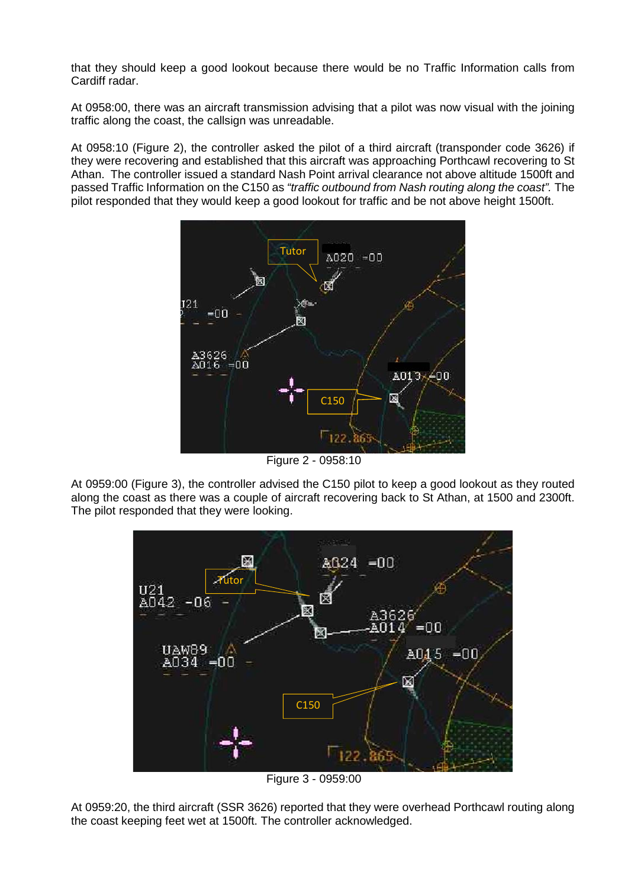that they should keep a good lookout because there would be no Traffic Information calls from Cardiff radar.

At 0958:00, there was an aircraft transmission advising that a pilot was now visual with the joining traffic along the coast, the callsign was unreadable.

At 0958:10 (Figure 2), the controller asked the pilot of a third aircraft (transponder code 3626) if they were recovering and established that this aircraft was approaching Porthcawl recovering to St Athan. The controller issued a standard Nash Point arrival clearance not above altitude 1500ft and passed Traffic Information on the C150 as *"traffic outbound from Nash routing along the coast".* The pilot responded that they would keep a good lookout for traffic and be not above height 1500ft.



Figure 2 - 0958:10

At 0959:00 (Figure 3), the controller advised the C150 pilot to keep a good lookout as they routed along the coast as there was a couple of aircraft recovering back to St Athan, at 1500 and 2300ft. The pilot responded that they were looking.



Figure 3 - 0959:00

At 0959:20, the third aircraft (SSR 3626) reported that they were overhead Porthcawl routing along the coast keeping feet wet at 1500ft. The controller acknowledged.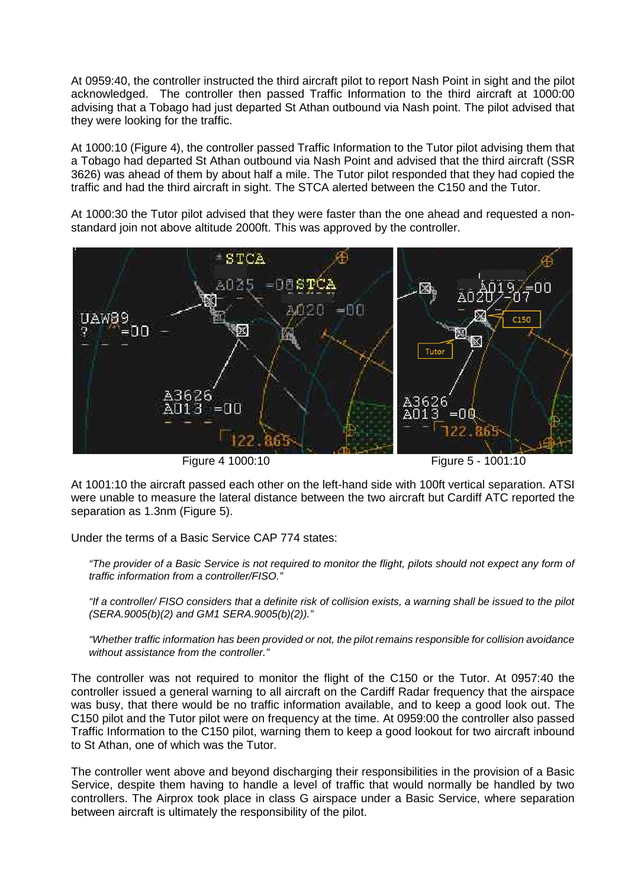At 0959:40, the controller instructed the third aircraft pilot to report Nash Point in sight and the pilot acknowledged. The controller then passed Traffic Information to the third aircraft at 1000:00 advising that a Tobago had just departed St Athan outbound via Nash point. The pilot advised that they were looking for the traffic.

At 1000:10 (Figure 4), the controller passed Traffic Information to the Tutor pilot advising them that a Tobago had departed St Athan outbound via Nash Point and advised that the third aircraft (SSR 3626) was ahead of them by about half a mile. The Tutor pilot responded that they had copied the traffic and had the third aircraft in sight. The STCA alerted between the C150 and the Tutor.

At 1000:30 the Tutor pilot advised that they were faster than the one ahead and requested a nonstandard join not above altitude 2000ft. This was approved by the controller.



Figure 4 1000:10 Figure 5 - 1001:10

At 1001:10 the aircraft passed each other on the left-hand side with 100ft vertical separation. ATSI were unable to measure the lateral distance between the two aircraft but Cardiff ATC reported the separation as 1.3nm (Figure 5).

Under the terms of a Basic Service CAP 774 states:

*"The provider of a Basic Service is not required to monitor the flight, pilots should not expect any form of traffic information from a controller/FISO."* 

*"If a controller/ FISO considers that a definite risk of collision exists, a warning shall be issued to the pilot (SERA.9005(b)(2) and GM1 SERA.9005(b)(2))."*

*"Whether traffic information has been provided or not, the pilot remains responsible for collision avoidance without assistance from the controller."* 

The controller was not required to monitor the flight of the C150 or the Tutor. At 0957:40 the controller issued a general warning to all aircraft on the Cardiff Radar frequency that the airspace was busy, that there would be no traffic information available, and to keep a good look out. The C150 pilot and the Tutor pilot were on frequency at the time. At 0959:00 the controller also passed Traffic Information to the C150 pilot, warning them to keep a good lookout for two aircraft inbound to St Athan, one of which was the Tutor.

The controller went above and beyond discharging their responsibilities in the provision of a Basic Service, despite them having to handle a level of traffic that would normally be handled by two controllers. The Airprox took place in class G airspace under a Basic Service, where separation between aircraft is ultimately the responsibility of the pilot.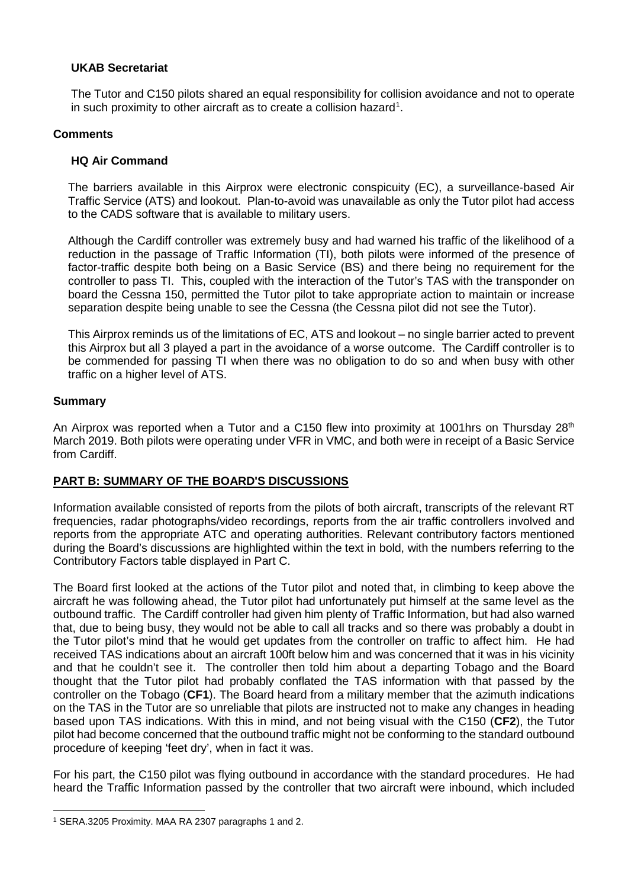# **UKAB Secretariat**

The Tutor and C150 pilots shared an equal responsibility for collision avoidance and not to operate in such proximity to other aircraft as to create a collision hazard<sup>1</sup>.

#### **Comments**

## **HQ Air Command**

The barriers available in this Airprox were electronic conspicuity (EC), a surveillance-based Air Traffic Service (ATS) and lookout. Plan-to-avoid was unavailable as only the Tutor pilot had access to the CADS software that is available to military users.

Although the Cardiff controller was extremely busy and had warned his traffic of the likelihood of a reduction in the passage of Traffic Information (TI), both pilots were informed of the presence of factor-traffic despite both being on a Basic Service (BS) and there being no requirement for the controller to pass TI. This, coupled with the interaction of the Tutor's TAS with the transponder on board the Cessna 150, permitted the Tutor pilot to take appropriate action to maintain or increase separation despite being unable to see the Cessna (the Cessna pilot did not see the Tutor).

This Airprox reminds us of the limitations of EC, ATS and lookout – no single barrier acted to prevent this Airprox but all 3 played a part in the avoidance of a worse outcome. The Cardiff controller is to be commended for passing TI when there was no obligation to do so and when busy with other traffic on a higher level of ATS.

#### **Summary**

 $\overline{\phantom{a}}$ 

An Airprox was reported when a Tutor and a C150 flew into proximity at 1001hrs on Thursday 28<sup>th</sup> March 2019. Both pilots were operating under VFR in VMC, and both were in receipt of a Basic Service from Cardiff.

# **PART B: SUMMARY OF THE BOARD'S DISCUSSIONS**

Information available consisted of reports from the pilots of both aircraft, transcripts of the relevant RT frequencies, radar photographs/video recordings, reports from the air traffic controllers involved and reports from the appropriate ATC and operating authorities. Relevant contributory factors mentioned during the Board's discussions are highlighted within the text in bold, with the numbers referring to the Contributory Factors table displayed in Part C.

The Board first looked at the actions of the Tutor pilot and noted that, in climbing to keep above the aircraft he was following ahead, the Tutor pilot had unfortunately put himself at the same level as the outbound traffic. The Cardiff controller had given him plenty of Traffic Information, but had also warned that, due to being busy, they would not be able to call all tracks and so there was probably a doubt in the Tutor pilot's mind that he would get updates from the controller on traffic to affect him. He had received TAS indications about an aircraft 100ft below him and was concerned that it was in his vicinity and that he couldn't see it. The controller then told him about a departing Tobago and the Board thought that the Tutor pilot had probably conflated the TAS information with that passed by the controller on the Tobago (**CF1**). The Board heard from a military member that the azimuth indications on the TAS in the Tutor are so unreliable that pilots are instructed not to make any changes in heading based upon TAS indications. With this in mind, and not being visual with the C150 (**CF2**), the Tutor pilot had become concerned that the outbound traffic might not be conforming to the standard outbound procedure of keeping 'feet dry', when in fact it was.

For his part, the C150 pilot was flying outbound in accordance with the standard procedures. He had heard the Traffic Information passed by the controller that two aircraft were inbound, which included

<span id="page-4-0"></span><sup>1</sup> SERA.3205 Proximity. MAA RA 2307 paragraphs 1 and 2.